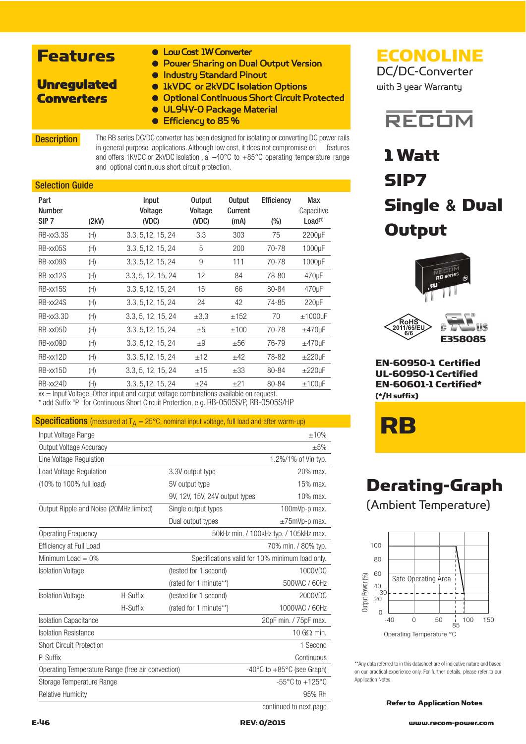### Features

- Low Cost 1W Converter
- Power Sharing on Dual Output Version
- Unregulated **Converters**
- Industry Standard Pinout
- 1kVDC or 2kVDC Isolation Options
- Optional Continuous Short Circuit Protected
- UL94V-O Package Material
- Efficiency to 85 %

**Description** The RB series DC/DC converter has been designed for isolating or converting DC power rails in general purpose applications. Although low cost, it does not compromise on features and offers 1KVDC or 2kVDC isolation , a –40°C to +85°C operating temperature range and optional continuous short circuit protection.

#### Selection Guide

| Part<br><b>Number</b><br>SIP <sub>7</sub> | (2kV) | Input<br>Voltage<br>(VDC)                                               | <b>Output</b><br>Voltage<br>(VDC) | <b>Output</b><br>Current<br>(mA)                                       | <b>Efficiency</b><br>$(\%)$ | Max<br>Capacitive<br>Load <sup>(1)</sup> |
|-------------------------------------------|-------|-------------------------------------------------------------------------|-----------------------------------|------------------------------------------------------------------------|-----------------------------|------------------------------------------|
| <b>RB-xx3.3S</b>                          | (H)   | 3.3, 5, 12, 15, 24                                                      | 3.3                               | 303                                                                    | 75                          | 2200µF                                   |
| RB-xx05S                                  | (H)   | 3.3, 5, 12, 15, 24                                                      | 5                                 | 200                                                                    | 70-78                       | 1000µF                                   |
| RB-xx09S                                  | (H)   | 3.3, 5, 12, 15, 24                                                      | 9                                 | 111                                                                    | 70-78                       | 1000µF                                   |
| RB-xx12S                                  | (H)   | 3.3, 5, 12, 15, 24                                                      | 12                                | 84                                                                     | 78-80                       | 470 <sub>µ</sub> F                       |
| RB-xx15S                                  | (H)   | 3.3, 5, 12, 15, 24                                                      | 15                                | 66                                                                     | 80-84                       | 470µF                                    |
| RB-xx24S                                  | (H)   | 3.3, 5, 12, 15, 24                                                      | 24                                | 42                                                                     | 74-85                       | $220 \mu F$                              |
| RB-xx3.3D                                 | (H)   | 3.3, 5, 12, 15, 24                                                      | $\pm 3.3$                         | ±152                                                                   | 70                          | $±1000\mu F$                             |
| RB-xx05D                                  | (H)   | 3.3, 5, 12, 15, 24                                                      | ±5                                | ±100                                                                   | 70-78                       | $±470 \mu F$                             |
| RB-xx09D                                  | (H)   | 3.3, 5, 12, 15, 24                                                      | $+9$                              | ±56                                                                    | 76-79                       | $±470 \mu F$                             |
| RB-xx12D                                  | (H)   | 3.3, 5, 12, 15, 24                                                      | ±12                               | ±42                                                                    | 78-82                       | $\pm 220 \mu F$                          |
| RB-xx15D                                  | (H)   | 3.3, 5, 12, 15, 24                                                      | ±15                               | $\pm 33$                                                               | 80-84                       | $\pm 220 \mu F$                          |
| RB-xx24D                                  | (H)   | 3.3, 5, 12, 15, 24<br>Attack the contracted contained to a the contract | ±24                               | ±21<br>للمستحدث والمستحدث والمالح الأستندي والمستحلة والمستحاة والمارد | 80-84                       | $±100 \mu F$                             |

 $xx =$  Input Voltage. Other input and output voltage combinations available on request. \* add Suffix "P" for Continuous Short Circuit Protection, e.g. RB-0505S/P, RB-0505S/HP

#### **Specifications** (measured at  $T_A = 25^{\circ}$ C, nominal input voltage, full load and after warm-up)

| Input Voltage Range                               |                                                 |                                | ±10%                                           |
|---------------------------------------------------|-------------------------------------------------|--------------------------------|------------------------------------------------|
| Output Voltage Accuracy                           |                                                 |                                | $\pm 5\%$                                      |
| Line Voltage Regulation                           |                                                 |                                | 1.2%/1% of Vin typ.                            |
| <b>Load Voltage Regulation</b>                    |                                                 | 3.3V output type               | 20% max.                                       |
| (10% to 100% full load)                           |                                                 | 5V output type                 | 15% max.                                       |
|                                                   |                                                 | 9V, 12V, 15V, 24V output types | 10% max.                                       |
| Output Ripple and Noise (20MHz limited)           |                                                 | Single output types            | 100mVp-p max.                                  |
|                                                   |                                                 | Dual output types              | $\pm$ 75mVp-p max.                             |
| <b>Operating Frequency</b>                        | 50kHz min. / 100kHz typ. / 105kHz max.          |                                |                                                |
| <b>Efficiency at Full Load</b>                    |                                                 |                                | 70% min. / 80% typ.                            |
| Minimum Load $= 0\%$                              | Specifications valid for 10% minimum load only. |                                |                                                |
| <b>Isolation Voltage</b>                          |                                                 | (tested for 1 second)          | 1000VDC                                        |
|                                                   |                                                 | (rated for 1 minute**)         | 500VAC / 60Hz                                  |
| <b>Isolation Voltage</b>                          | H-Suffix                                        | (tested for 1 second)          | 2000VDC                                        |
|                                                   | H-Suffix                                        | (rated for 1 minute**)         | 1000VAC / 60Hz                                 |
| <b>Isolation Capacitance</b>                      |                                                 |                                | 20pF min. / 75pF max.                          |
| <b>Isolation Resistance</b>                       |                                                 |                                | 10 $G\Omega$ min.                              |
| <b>Short Circuit Protection</b>                   |                                                 |                                | 1 Second                                       |
| P-Suffix                                          |                                                 |                                | Continuous                                     |
| Operating Temperature Range (free air convection) |                                                 |                                | $-40^{\circ}$ C to $+85^{\circ}$ C (see Graph) |
| Storage Temperature Range                         |                                                 |                                | $-55^{\circ}$ C to $+125^{\circ}$ C            |
| <b>Relative Humidity</b>                          |                                                 |                                | 95% RH                                         |
|                                                   |                                                 |                                | continued to next page                         |

ECONOLINE DC/DC-Converter

with 3 year Warranty



# 1 Watt SIP7 Single **&** Dual **Output**







EN-60950-1 Certified UL-60950-1 Certified EN-60601-1 Certified\* (\*/H suffix)

RB

# Derating-Graph

(Ambient Temperature)



\*\*Any data referred to in this datasheet are of indicative nature and based on our practical experience only. For further details, please refer to our Application Notes.

Refer to Application Notes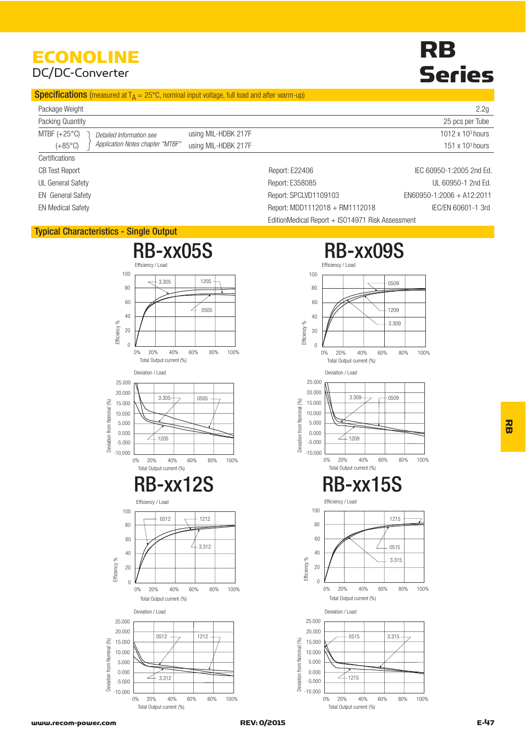# ECONOLINE

### DC/DC-Converter

# RB Series

#### **Specifications** (measured at  $T_A = 25^{\circ}$ C, nominal input voltage, full load and after warm-up)

| Package Weight                                       |                     |                | 2.2g                     |
|------------------------------------------------------|---------------------|----------------|--------------------------|
| Packing Quantity                                     |                     |                | 25 pcs per Tube          |
| MTBF $(+25^{\circ}C)$<br>Detailed Information see    | using MIL-HDBK 217F |                | 1012 x $103$ hours       |
| Application Notes chapter "MTBF"<br>$(+85^{\circ}C)$ | using MIL-HDBK 217F |                | 151 x $103$ hours        |
| Certifications                                       |                     |                |                          |
| CB Test Report                                       |                     | Report: E22406 | IEC 60950-1:2005 2nd Ed. |

UL General Safety **Contract Contract Contract Contract Contract Contract Contract Contract Contract Contract Contract Contract Contract Contract Contract Contract Contract Contract Contract Contract Contract Contract Contr** 

EN General Safety **Entitled Safety** Report: SPCLVD1109103 EN60950-1:2006 + A12:2011

EN Medical Safety **EXEC/EN 60601-1** 3rd Report: MDD1112018 + RM1112018 **IEC/EN 60601-1** 3rd

#### Typical Characteristics - Single Output

Efficie e<br>101 %

=<br>111cie e<br>10y %

 $\Omega$ 

 $-10.000$ 

 $-5.000$ 

 $0.000$ 5.000 10.000 15.000 20.000 25,000

Deviation from Nominal (%) viation from Nominal (%)  $40$ 

 $60$ 80

 $20$ 

0% 20% 40% 60% 80% 100%

 $1212$ 

20% 40% 60% 80%

0% 20% 40% 60% 80% 100%

20% 40% 60% 80%

Total Output current (%)

 $3.312$ 

Total Output current (%)

0512

Deviation / Load

100

 $-10,000$ 

 $-5.000$ 

 $0.000$ 5.000 10.000 15.000  $20.000$ 25,000

**Deviation from Nominal** viation from Nominal (%)

 $(\%)$ 

Efficiency / Loac

Total Output current (%)

 $21205$ 

 $\overline{0}$ 

Total Output current (%)

 $3.305$ 

Deviation / Load

 $3.305$ 

 $40$ 

60 80

20

 $10<sup>C</sup>$ 

**Efficie** ncy / Load



# 0% 20% 40% 60% 80% 100% 20% 40% 60% 80% 0% 20% 40% 60% 80% 100% 20% 40% 60% 80%  $-0509$ 1215 0515

**Efficie** e<br>2010  $\Omega$ 0% 20% 40% 60% 80% 100% 40 20% 40% 60% 80% 20 Total Output current (%)  $3.315$ 

0509

1209 3.309